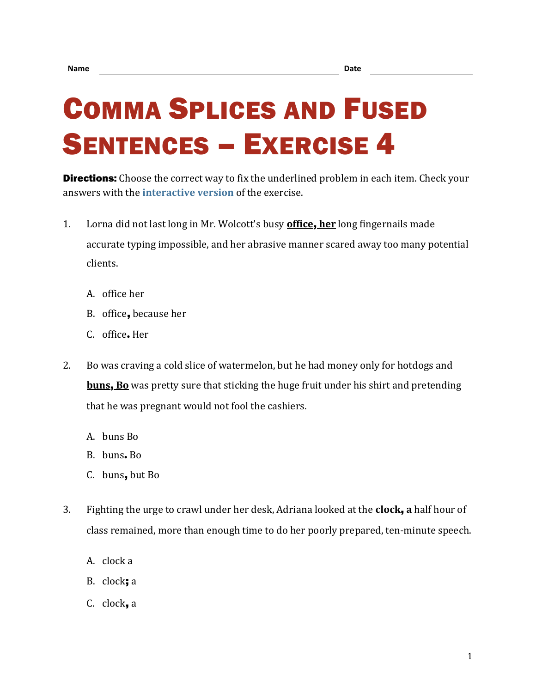## COMMA SPLICES AND FUSED SENTENCES – EXERCISE 4

**Directions:** Choose the correct way to fix the underlined problem in each item. Check your answers with the **[interactive version](https://chompchomp.com/csfs04/)** of the exercise.

- 1. Lorna did not last long in Mr. Wolcott's busy **office**, **her** long fingernails made accurate typing impossible, and her abrasive manner scared away too many potential clients.
	- A. office her
	- B. office, because her
	- C. office**.** Her
- 2. Bo was craving a cold slice of watermelon, but he had money only for hotdogs and **buns**, **Bo** was pretty sure that sticking the huge fruit under his shirt and pretending that he was pregnant would not fool the cashiers.
	- A. buns Bo
	- B. buns**.** Bo
	- C. buns, but Bo
- 3. Fighting the urge to crawl under her desk, Adriana looked at the **clock**, **a** half hour of class remained, more than enough time to do her poorly prepared, ten-minute speech.
	- A. clock a
	- B. clock; a
	- C. clock, a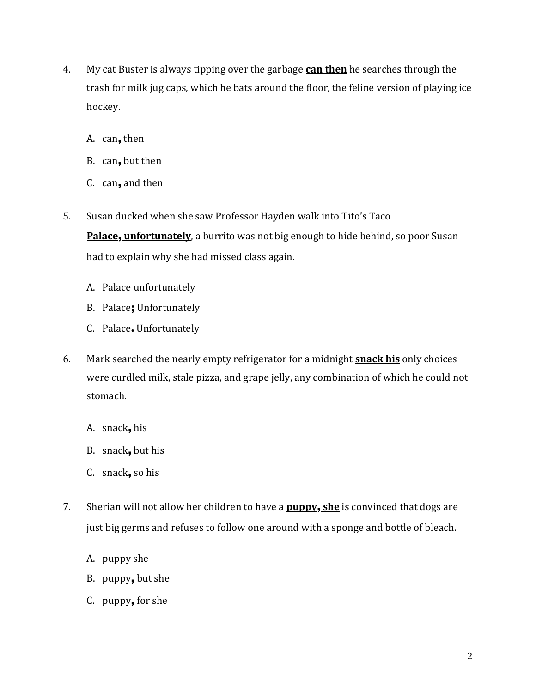- 4. My cat Buster is always tipping over the garbage **can then** he searches through the trash for milk jug caps, which he bats around the floor, the feline version of playing ice hockey.
	- A. can, then
	- B. can, but then
	- C. can, and then
- 5. Susan ducked when she saw Professor Hayden walk into Tito's Taco

**Palace**, **unfortunately**, a burrito was not big enough to hide behind, so poor Susan had to explain why she had missed class again.

- A. Palace unfortunately
- B. Palace; Unfortunately
- C. Palace**.** Unfortunately
- 6. Mark searched the nearly empty refrigerator for a midnight **snack his** only choices were curdled milk, stale pizza, and grape jelly, any combination of which he could not stomach.
	- A. snack, his
	- B. snack, but his
	- C. snack, so his
- 7. Sherian will not allow her children to have a **puppy**, **she** is convinced that dogs are just big germs and refuses to follow one around with a sponge and bottle of bleach.
	- A. puppy she
	- B. puppy, but she
	- C. puppy, for she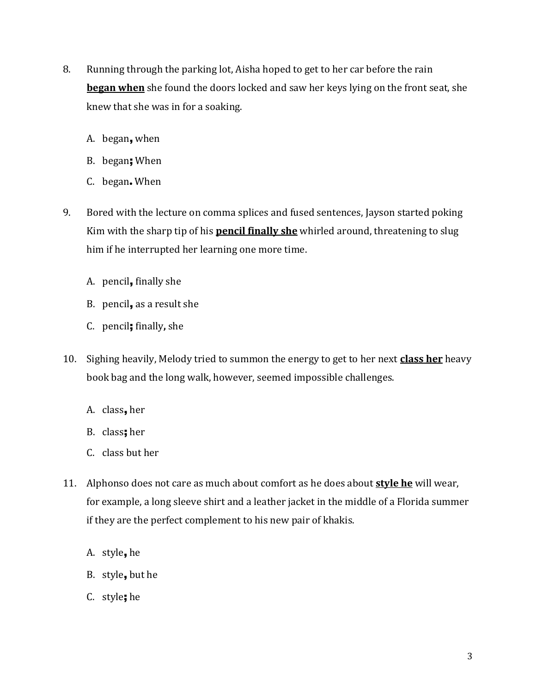- 8. Running through the parking lot, Aisha hoped to get to her car before the rain **began when** she found the doors locked and saw her keys lying on the front seat, she knew that she was in for a soaking.
	- A. began, when
	- B. began; When
	- C. began**.** When
- 9. Bored with the lecture on comma splices and fused sentences, Jayson started poking Kim with the sharp tip of his **pencil finally she** whirled around, threatening to slug him if he interrupted her learning one more time.
	- A. pencil, finally she
	- B. pencil, as a result she
	- C. pencil; finally**,** she
- 10. Sighing heavily, Melody tried to summon the energy to get to her next **class her** heavy book bag and the long walk, however, seemed impossible challenges.
	- A. class, her
	- B. class; her
	- C. class but her
- 11. Alphonso does not care as much about comfort as he does about **style he** will wear, for example, a long sleeve shirt and a leather jacket in the middle of a Florida summer if they are the perfect complement to his new pair of khakis.
	- A. style, he
	- B. style, but he
	- C. style; he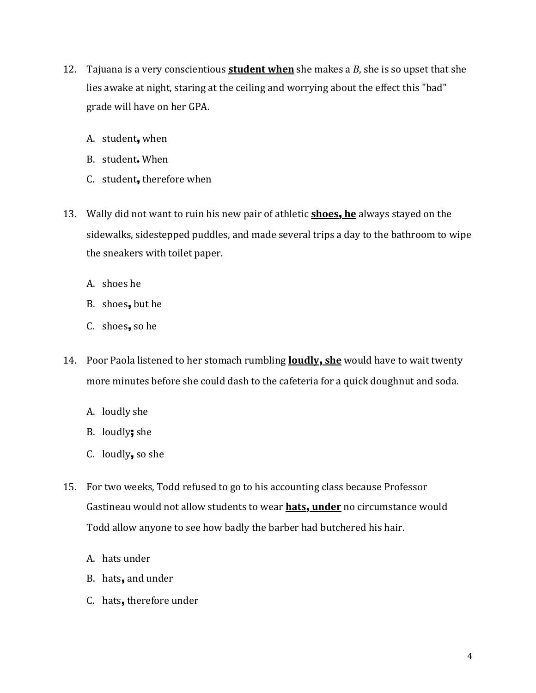- 12. Tajuana is a very conscientious **student when** she makes a *B*, she is so upset that she lies awake at night, staring at the ceiling and worrying about the effect this "bad" grade will have on her GPA.
	- A. student, when
	- B. student**.** When
	- C. student, therefore when
- 13. Wally did not want to ruin his new pair of athletic **shoes**, **he** always stayed on the sidewalks, sidestepped puddles, and made several trips a day to the bathroom to wipe the sneakers with toilet paper.
	- A. shoes he
	- B. shoes, but he
	- C. shoes, so he
- 14. Poor Paola listened to her stomach rumbling **loudly**, **she** would have to wait twenty more minutes before she could dash to the cafeteria for a quick doughnut and soda.
	- A. loudly she
	- B. loudly; she
	- C. loudly, so she
- 15. For two weeks, Todd refused to go to his accounting class because Professor Gastineau would not allow students to wear **hats**, **under** no circumstance would Todd allow anyone to see how badly the barber had butchered his hair.
	- A. hats under
	- B. hats, and under
	- C. hats, therefore under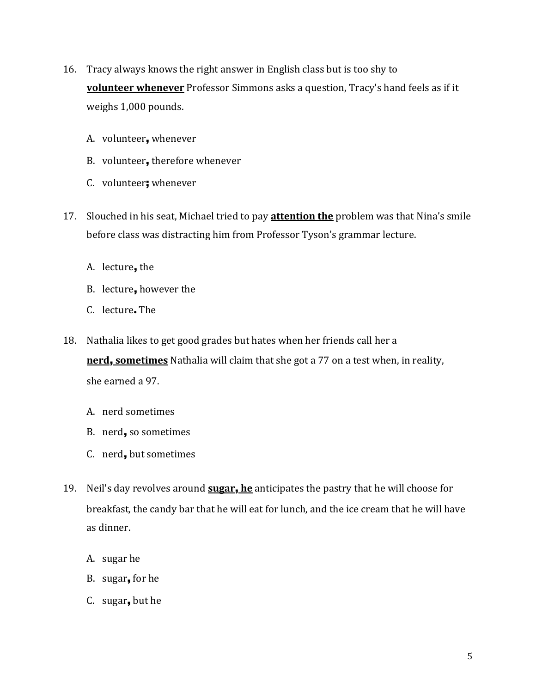- 16. Tracy always knows the right answer in English class but is too shy to **volunteer whenever** Professor Simmons asks a question, Tracy's hand feels as if it weighs 1,000 pounds.
	- A. volunteer, whenever
	- B. volunteer, therefore whenever
	- C. volunteer; whenever
- 17. Slouched in his seat, Michael tried to pay **attention the** problem was that Nina's smile before class was distracting him from Professor Tyson's grammar lecture.
	- A. lecture, the
	- B. lecture, however the
	- C. lecture**.** The
- 18. Nathalia likes to get good grades but hates when her friends call her a **nerd**, **sometimes** Nathalia will claim that she got a 77 on a test when, in reality, she earned a 97.
	- A. nerd sometimes
	- B. nerd, so sometimes
	- C. nerd, but sometimes
- 19. Neil's day revolves around **sugar**, **he** anticipates the pastry that he will choose for breakfast, the candy bar that he will eat for lunch, and the ice cream that he will have as dinner.
	- A. sugar he
	- B. sugar, for he
	- C. sugar, but he